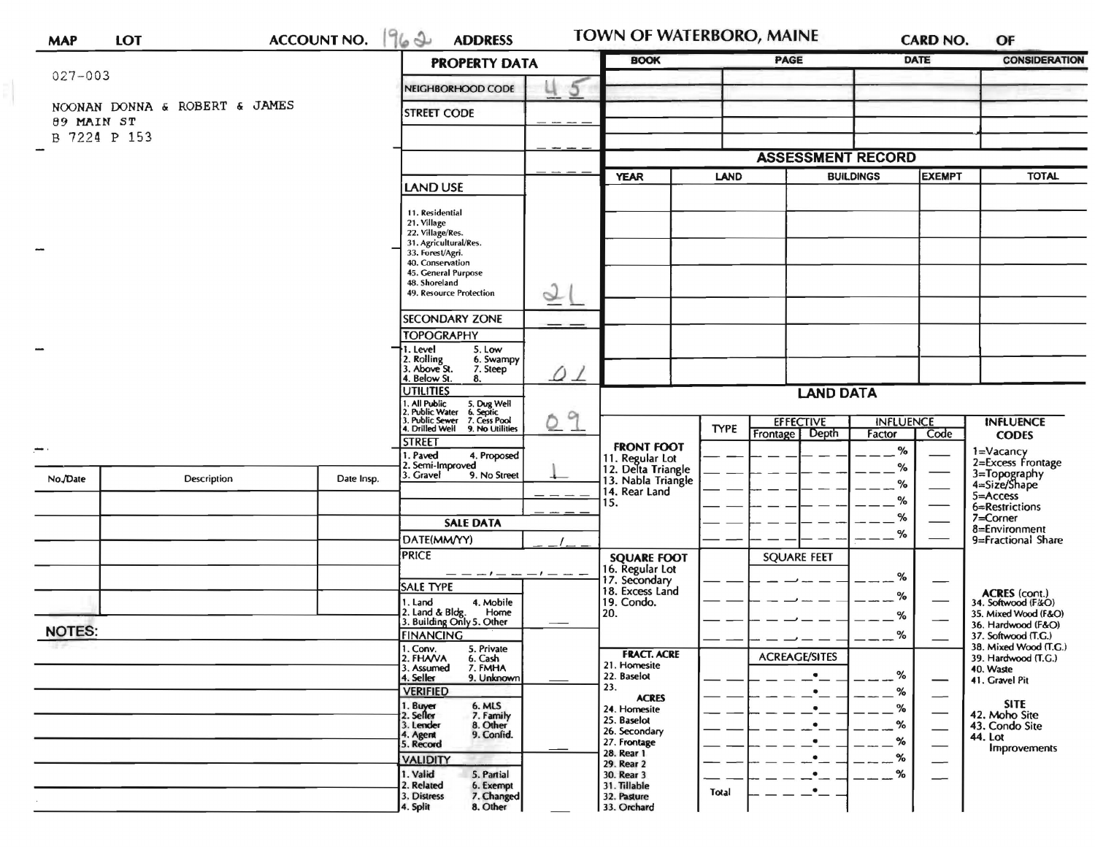| <b>MAP</b>    | <b>LOT</b>                    | <b>ACCOUNT NO.</b>                                                                                                            | 1962<br><b>ADDRESS</b>                                       |             | TOWN OF WATERBORO, MAINE              |             |                                    | <b>CARD NO.</b>            |                                 | OF                                           |
|---------------|-------------------------------|-------------------------------------------------------------------------------------------------------------------------------|--------------------------------------------------------------|-------------|---------------------------------------|-------------|------------------------------------|----------------------------|---------------------------------|----------------------------------------------|
|               |                               |                                                                                                                               | <b>PROPERTY DATA</b>                                         | <b>BOOK</b> | <b>PAGE</b>                           |             | <b>DATE</b>                        |                            | <b>CONSIDERATION</b>            |                                              |
| $027 - 003$   |                               |                                                                                                                               | NEIGHBORHOOD CODE                                            | 5           |                                       |             |                                    |                            |                                 |                                              |
|               | NOONAN DONNA & ROBERT & JAMES |                                                                                                                               | <b>STREET CODE</b>                                           |             |                                       |             |                                    |                            |                                 |                                              |
| 89 MAIN ST    |                               |                                                                                                                               |                                                              |             |                                       |             |                                    |                            |                                 |                                              |
|               | B 7224 P 153                  |                                                                                                                               |                                                              |             |                                       |             |                                    |                            |                                 |                                              |
|               |                               |                                                                                                                               |                                                              |             |                                       |             | <b>ASSESSMENT RECORD</b>           |                            |                                 |                                              |
|               |                               |                                                                                                                               | <b>LAND USE</b>                                              |             | <b>YEAR</b>                           | <b>LAND</b> |                                    | <b>BUILDINGS</b>           | <b>EXEMPT</b>                   | <b>TOTAL</b>                                 |
|               |                               |                                                                                                                               |                                                              |             |                                       |             |                                    |                            |                                 |                                              |
|               |                               |                                                                                                                               | 11. Residential                                              |             |                                       |             |                                    |                            |                                 |                                              |
|               |                               |                                                                                                                               | 21. Village<br>22. Village/Res.<br>31. Agricultural/Res.     |             |                                       |             |                                    |                            |                                 |                                              |
| $\sim$        |                               |                                                                                                                               | 33. Forest/Agri.<br>40. Conservation                         |             |                                       |             |                                    |                            |                                 |                                              |
|               |                               |                                                                                                                               | 45. General Purpose<br>48. Shoreland                         |             |                                       |             |                                    |                            |                                 |                                              |
|               |                               |                                                                                                                               | 49. Resource Protection                                      | $\sim$      |                                       |             |                                    |                            |                                 |                                              |
|               |                               |                                                                                                                               | SECONDARY ZONE                                               |             |                                       |             |                                    |                            |                                 |                                              |
|               |                               |                                                                                                                               | <b>TOPOGRAPHY</b>                                            |             |                                       |             |                                    |                            |                                 |                                              |
|               |                               |                                                                                                                               | 1. Level<br>5. Low<br>6. Swampy                              |             |                                       |             |                                    |                            |                                 |                                              |
|               |                               |                                                                                                                               | 2. Rolling<br>3. Above St.<br>7. Steep<br>4. Below St.<br>8. | 0 1         |                                       |             |                                    |                            |                                 |                                              |
|               |                               |                                                                                                                               | <b>UTILITIES</b>                                             |             | <b>LAND DATA</b>                      |             |                                    |                            |                                 |                                              |
|               |                               | 1. All Public<br>2. Public Water<br>3. Public Sewer<br>4. Drilled Well<br>5. Dug Well<br>6. Septic<br>7. Cess Pool<br>$\circ$ |                                                              |             |                                       |             |                                    |                            |                                 |                                              |
|               |                               |                                                                                                                               | 9. No Utilities                                              |             |                                       | <b>TYPE</b> | <b>EFFECTIVE</b><br>Frontage Depth | <b>INFLUENCE</b><br>Factor | Code                            | <b>INFLUENCE</b><br><b>CODES</b>             |
| -             |                               |                                                                                                                               | <b>STREET</b><br>1. Paved<br>4. Proposed                     |             | <b>FRONT FOOT</b>                     |             |                                    | $\%$                       |                                 | 1=Vacancy                                    |
|               |                               |                                                                                                                               | 2. Semi-Improved                                             |             | 11. Regular Lot<br>12. Delta Triangle |             |                                    | ℅                          |                                 | 2=Excess Frontage                            |
| No./Date      | Description                   | Date Insp.                                                                                                                    | 3. Gravel<br>9. No Street                                    |             | 13. Nabla Triangle<br>14. Rear Land   |             |                                    | %                          | 3=Topography<br>4=Size/Shape    |                                              |
|               |                               |                                                                                                                               |                                                              |             | 15.                                   |             |                                    | %                          |                                 | 5=Access<br>6=Restrictions                   |
|               |                               |                                                                                                                               | <b>SALE DATA</b>                                             |             |                                       |             |                                    | %                          |                                 | 7=Corner<br>8=Environment                    |
|               |                               |                                                                                                                               | DATE(MM/YY)                                                  |             |                                       |             |                                    | %                          |                                 | 9=Fractional Share                           |
|               |                               |                                                                                                                               | <b>PRICE</b>                                                 |             | <b>SQUARE FOOT</b><br>16. Regular Lot |             | <b>SQUARE FEET</b>                 |                            |                                 |                                              |
|               |                               |                                                                                                                               | _ _ _ _ _ _<br><b>SALE TYPE</b>                              |             | 17. Secondary                         |             |                                    | %                          |                                 |                                              |
|               |                               |                                                                                                                               | 1. Land<br>4. Mobile                                         |             | 18. Excess Land<br>19. Condo.         |             |                                    | %                          |                                 | ACRES (cont.)<br>34. Softwood (F&O)          |
|               |                               |                                                                                                                               | 2. Land & Bldg. Home<br>3. Building Only 5. Other<br>Home    |             | 20.                                   |             |                                    | %                          |                                 | 35. Mixed Wood (F&O)<br>36. Hardwood (F&O)   |
| <b>NOTES:</b> |                               |                                                                                                                               | <b>FINANCING</b>                                             |             |                                       |             |                                    | %                          |                                 | 37. Softwood (T.G.)                          |
|               |                               |                                                                                                                               | 1. Conv.<br>2. FHAVA<br>5. Private<br>6. Cash                |             | <b>FRACT. ACRE</b>                    |             | <b>ACREAGE/SITES</b>               |                            |                                 | 38. Mixed Wood (T.G.)<br>39. Hardwood (T.G.) |
|               |                               |                                                                                                                               | 7. FMHA<br>3. Assumed<br>9. Unknown<br>4. Seller             |             | 21. Homesite<br>22. Baselot           |             | $\bullet$                          | %                          |                                 | 40. Waste<br>41. Gravel Pit                  |
|               |                               |                                                                                                                               | <b>VERIFIED</b>                                              |             | 23.<br><b>ACRES</b>                   |             | $\cdot$                            | ℅                          | $\overline{\phantom{0}}$        |                                              |
|               |                               |                                                                                                                               | 1. Buyer<br>2. Seller<br>6. MLS<br>7. Family                 |             | 24. Homesite<br>25. Baselot           |             | $\cdot$                            | ℅                          | $\hspace{0.1mm}-\hspace{0.1mm}$ | <b>SITE</b><br>42. Moho Site                 |
|               |                               |                                                                                                                               | 3. Lender<br>8. Other<br>9. Confid.                          |             | 26. Secondary                         |             |                                    | %                          | $\hspace{0.1mm}-\hspace{0.1mm}$ | 43. Condo Site<br>44. Lot                    |
|               |                               |                                                                                                                               | 4. Agent<br>5. Record                                        |             | 27. Frontage<br>28. Rear 1            |             |                                    | %<br>%                     |                                 | Improvements                                 |
|               |                               |                                                                                                                               | <b>VALIDITY</b><br>1. Valid<br>5. Partial                    |             | 29. Rear 2<br>30. Rear 3              |             |                                    | %                          | —                               |                                              |
|               |                               |                                                                                                                               | 2. Related<br>6. Exempt                                      |             | 31. Tillable                          | Total       | $\overline{\phantom{a}}$           |                            | $\overline{\phantom{0}}$        |                                              |
|               |                               |                                                                                                                               | 3. Distress<br>7. Changed<br>4. Split<br>8. Other            |             | 32. Pasture<br>33. Orchard            |             |                                    |                            |                                 |                                              |

E)